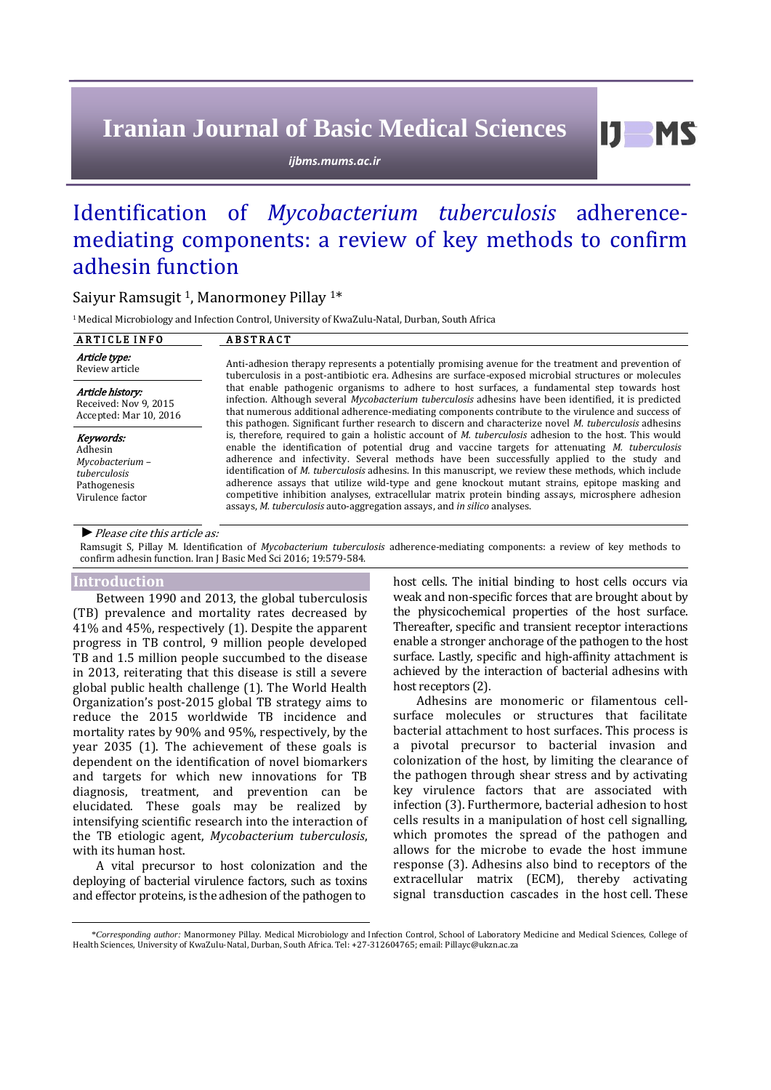# **Iranian Journal of Basic Medical Sciences**

*ijbms.mums.ac.ir*

# Identification of *Mycobacterium tuberculosis* adherencemediating components: a review of key methods to confirm adhesin function

# Saiyur Ramsugit 1, Manormoney Pillay 1\*

<sup>1</sup> Medical Microbiology and Infection Control, University of KwaZulu-Natal, Durban, South Africa

| <b>ARTICLE INFO</b>                                                                         | <b>ABSTRACT</b>                                                                                                                                                                                                                                                                                                                                                                                                                                                                                                                                                                                                                                                                                                       |
|---------------------------------------------------------------------------------------------|-----------------------------------------------------------------------------------------------------------------------------------------------------------------------------------------------------------------------------------------------------------------------------------------------------------------------------------------------------------------------------------------------------------------------------------------------------------------------------------------------------------------------------------------------------------------------------------------------------------------------------------------------------------------------------------------------------------------------|
| Article type:<br>Review article                                                             | Anti-adhesion therapy represents a potentially promising avenue for the treatment and prevention of<br>tuberculosis in a post-antibiotic era. Adhesins are surface-exposed microbial structures or molecules                                                                                                                                                                                                                                                                                                                                                                                                                                                                                                          |
| Article history:<br>Received: Nov 9, 2015<br>Accepted: Mar 10, 2016                         | that enable pathogenic organisms to adhere to host surfaces, a fundamental step towards host<br>infection. Although several Mycobacterium tuberculosis adhesins have been identified, it is predicted<br>that numerous additional adherence-mediating components contribute to the virulence and success of<br>this pathogen. Significant further research to discern and characterize novel <i>M. tuberculosis</i> adhesins                                                                                                                                                                                                                                                                                          |
| Keywords:<br>Adhesin<br>Mycobacterium -<br>tuberculosis<br>Pathogenesis<br>Virulence factor | is, therefore, required to gain a holistic account of <i>M. tuberculosis</i> adhesion to the host. This would<br>enable the identification of potential drug and vaccine targets for attenuating $M$ . tuberculosis<br>adherence and infectivity. Several methods have been successfully applied to the study and<br>identification of <i>M. tuberculosis</i> adhesins. In this manuscript, we review these methods, which include<br>adherence assays that utilize wild-type and gene knockout mutant strains, epitope masking and<br>competitive inhibition analyses, extracellular matrix protein binding assays, microsphere adhesion<br>assays, M. tuberculosis auto-aggregation assays, and in silico analyses. |

*►*Please cite this article as:

Ramsugit S, Pillay M. Identification of *Mycobacterium tuberculosis* adherence-mediating components: a review of key methods to confirm adhesin function. Iran J Basic Med Sci 2016; 19:579-584.

### **Introduction**

Between 1990 and 2013, the global tuberculosis (TB) prevalence and mortality rates decreased by 41% and 45%, respectively (1). Despite the apparent progress in TB control, 9 million people developed TB and 1.5 million people succumbed to the disease in 2013, reiterating that this disease is still a severe global public health challenge (1). The World Health Organization's post-2015 global TB strategy aims to reduce the 2015 worldwide TB incidence and mortality rates by 90% and 95%, respectively, by the year 2035 (1). The achievement of these goals is dependent on the identification of novel biomarkers and targets for which new innovations for TB diagnosis, treatment, and prevention can be elucidated. These goals may be realized by intensifying scientific research into the interaction of the TB etiologic agent, *Mycobacterium tuberculosis*, with its human host.

A vital precursor to host colonization and the deploying of bacterial virulence factors, such as toxins and effector proteins, is the adhesion of the pathogen to

host cells. The initial binding to host cells occurs via weak and non-specific forces that are brought about by the physicochemical properties of the host surface. Thereafter, specific and transient receptor interactions enable a stronger anchorage of the pathogen to the host surface. Lastly, specific and high-affinity attachment is achieved by the interaction of bacterial adhesins with host receptors (2).

Adhesins are monomeric or filamentous cellsurface molecules or structures that facilitate bacterial attachment to host surfaces. This process is a pivotal precursor to bacterial invasion and colonization of the host, by limiting the clearance of the pathogen through shear stress and by activating key virulence factors that are associated with infection (3). Furthermore, bacterial adhesion to host cells results in a manipulation of host cell signalling, which promotes the spread of the pathogen and allows for the microbe to evade the host immune response (3). Adhesins also bind to receptors of the extracellular matrix (ECM), thereby activating signal transduction cascades in the host cell. These

<sup>\*</sup>*Corresponding author:* Manormoney Pillay. Medical Microbiology and Infection Control, School of Laboratory Medicine and Medical Sciences, College of Health Sciences, University of KwaZulu-Natal, Durban, South Africa. Tel: +27-312604765; email: Pillayc@ukzn.ac.za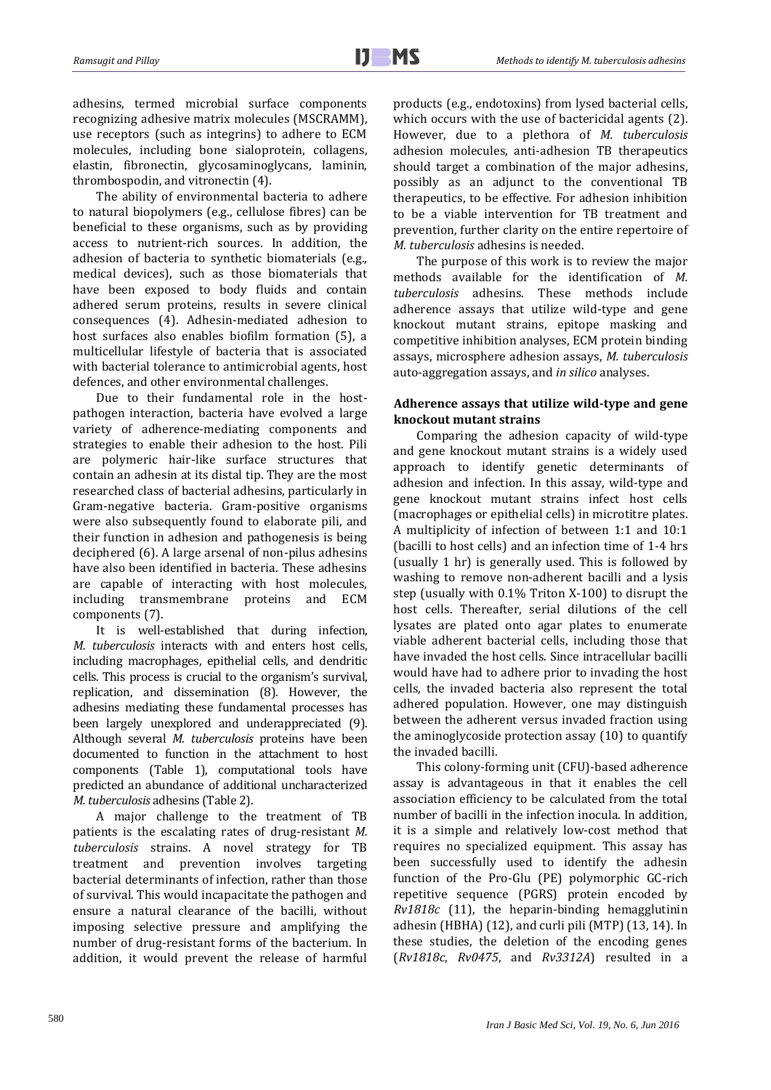j

adhesins, termed microbial surface components recognizing adhesive matrix molecules (MSCRAMM), use receptors (such as integrins) to adhere to ECM molecules, including bone sialoprotein, collagens, elastin, fibronectin, glycosaminoglycans, laminin, thrombospodin, and vitronectin (4).

The ability of environmental bacteria to adhere to natural biopolymers (e.g., cellulose fibres) can be beneficial to these organisms, such as by providing access to nutrient-rich sources. In addition, the adhesion of bacteria to synthetic biomaterials (e.g., medical devices), such as those biomaterials that have been exposed to body fluids and contain adhered serum proteins, results in severe clinical consequences (4). Adhesin-mediated adhesion to host surfaces also enables biofilm formation (5), a multicellular lifestyle of bacteria that is associated with bacterial tolerance to antimicrobial agents, host defences, and other environmental challenges.

Due to their fundamental role in the hostpathogen interaction, bacteria have evolved a large variety of adherence-mediating components and strategies to enable their adhesion to the host. Pili are polymeric hair-like surface structures that contain an adhesin at its distal tip. They are the most researched class of bacterial adhesins, particularly in Gram-negative bacteria. Gram-positive organisms were also subsequently found to elaborate pili, and their function in adhesion and pathogenesis is being deciphered (6). A large arsenal of non-pilus adhesins have also been identified in bacteria. These adhesins are capable of interacting with host molecules, including transmembrane proteins and ECM components (7).

It is well-established that during infection, *M. tuberculosis* interacts with and enters host cells, including macrophages, epithelial cells, and dendritic cells. This process is crucial to the organism's survival, replication, and dissemination (8). However, the adhesins mediating these fundamental processes has been largely unexplored and underappreciated (9). Although several *M. tuberculosis* proteins have been documented to function in the attachment to host components (Table 1), computational tools have predicted an abundance of additional uncharacterized *M. tuberculosis* adhesins (Table 2).

A major challenge to the treatment of TB patients is the escalating rates of drug-resistant *M. tuberculosis* strains. A novel strategy for TB treatment and prevention involves targeting bacterial determinants of infection, rather than those of survival. This would incapacitate the pathogen and ensure a natural clearance of the bacilli, without imposing selective pressure and amplifying the number of drug-resistant forms of the bacterium. In addition, it would prevent the release of harmful products (e.g., endotoxins) from lysed bacterial cells, which occurs with the use of bactericidal agents (2). However, due to a plethora of *M. tuberculosis* adhesion molecules, anti-adhesion TB therapeutics should target a combination of the major adhesins, possibly as an adjunct to the conventional TB therapeutics, to be effective. For adhesion inhibition to be a viable intervention for TB treatment and prevention, further clarity on the entire repertoire of *M. tuberculosis* adhesins is needed.

The purpose of this work is to review the major methods available for the identification of *M. tuberculosis* adhesins. These methods include adherence assays that utilize wild-type and gene knockout mutant strains, epitope masking and competitive inhibition analyses, ECM protein binding assays, microsphere adhesion assays, *M. tuberculosis* auto-aggregation assays, and *in silico* analyses.

# **Adherence assays that utilize wild-type and gene knockout mutant strains**

Comparing the adhesion capacity of wild-type and gene knockout mutant strains is a widely used approach to identify genetic determinants of adhesion and infection. In this assay, wild-type and gene knockout mutant strains infect host cells (macrophages or epithelial cells) in microtitre plates. A multiplicity of infection of between 1:1 and 10:1 (bacilli to host cells) and an infection time of 1-4 hrs (usually 1 hr) is generally used. This is followed by washing to remove non-adherent bacilli and a lysis step (usually with 0.1% Triton X-100) to disrupt the host cells. Thereafter, serial dilutions of the cell lysates are plated onto agar plates to enumerate viable adherent bacterial cells, including those that have invaded the host cells. Since intracellular bacilli would have had to adhere prior to invading the host cells, the invaded bacteria also represent the total adhered population. However, one may distinguish between the adherent versus invaded fraction using the aminoglycoside protection assay (10) to quantify the invaded bacilli.

This colony-forming unit (CFU)-based adherence assay is advantageous in that it enables the cell association efficiency to be calculated from the total number of bacilli in the infection inocula. In addition, it is a simple and relatively low-cost method that requires no specialized equipment. This assay has been successfully used to identify the adhesin function of the Pro-Glu (PE) polymorphic GC-rich repetitive sequence (PGRS) protein encoded by *Rv1818c* (11), the heparin-binding hemagglutinin adhesin (HBHA) (12), and curli pili (MTP) (13, 14). In these studies, the deletion of the encoding genes (*Rv1818c*, *Rv0475*, and *Rv3312A*) resulted in a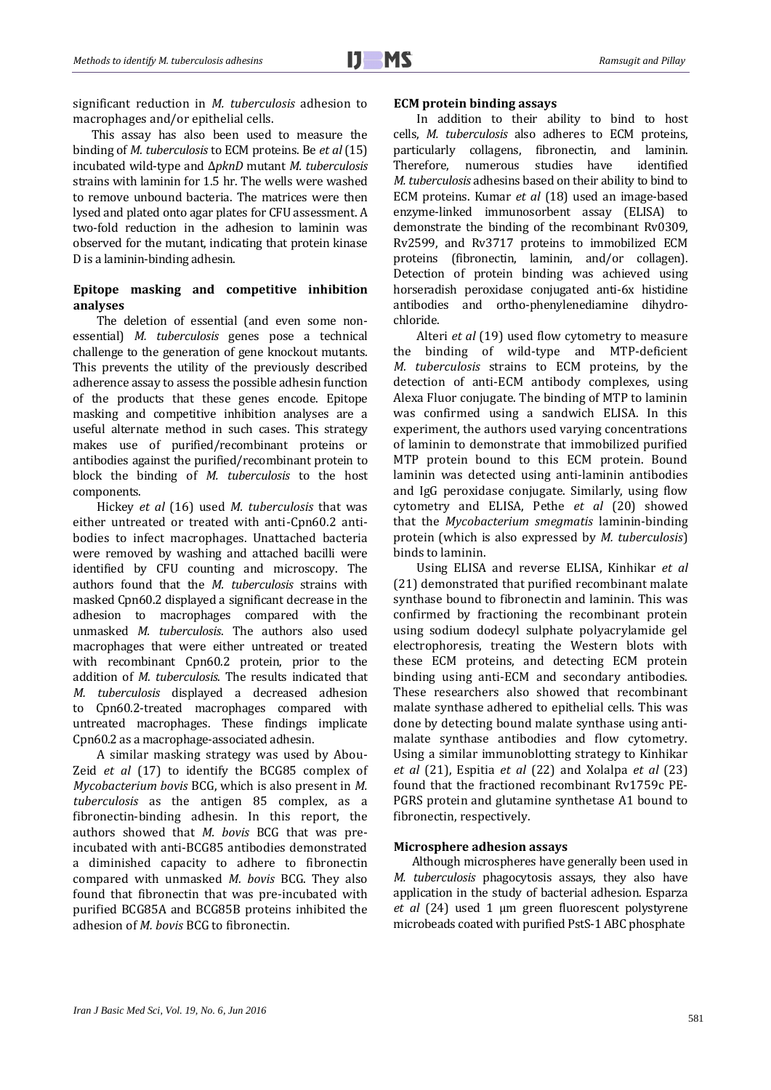significant reduction in *M. tuberculosis* adhesion to macrophages and/or epithelial cells.

This assay has also been used to measure the binding of *M. tuberculosis* to ECM proteins. Be *et al*(15) incubated wild-type and Δ*pknD* mutant *M. tuberculosis* strains with laminin for 1.5 hr. The wells were washed to remove unbound bacteria. The matrices were then lysed and plated onto agar plates for CFU assessment. A two-fold reduction in the adhesion to laminin was observed for the mutant, indicating that protein kinase D is a laminin-binding adhesin.

## **Epitope masking and competitive inhibition analyses**

The deletion of essential (and even some nonessential) *M. tuberculosis* genes pose a technical challenge to the generation of gene knockout mutants. This prevents the utility of the previously described adherence assay to assess the possible adhesin function of the products that these genes encode. Epitope masking and competitive inhibition analyses are a useful alternate method in such cases. This strategy makes use of purified/recombinant proteins or antibodies against the purified/recombinant protein to block the binding of *M. tuberculosis* to the host components.

Hickey *et al* (16) used *M. tuberculosis* that was either untreated or treated with anti-Cpn60.2 antibodies to infect macrophages. Unattached bacteria were removed by washing and attached bacilli were identified by CFU counting and microscopy. The authors found that the *M. tuberculosis* strains with masked Cpn60.2 displayed a significant decrease in the adhesion to macrophages compared with the unmasked *M. tuberculosis*. The authors also used macrophages that were either untreated or treated with recombinant Cpn60.2 protein, prior to the addition of *M. tuberculosis*. The results indicated that *M. tuberculosis* displayed a decreased adhesion to Cpn60.2-treated macrophages compared with untreated macrophages. These findings implicate Cpn60.2 as a macrophage-associated adhesin.

A similar masking strategy was used by Abou-Zeid *et al* (17) to identify the BCG85 complex of *Mycobacterium bovis* BCG, which is also present in *M. tuberculosis* as the antigen 85 complex, as a fibronectin-binding adhesin. In this report, the authors showed that *M. bovis* BCG that was preincubated with anti-BCG85 antibodies demonstrated a diminished capacity to adhere to fibronectin compared with unmasked *M. bovis* BCG. They also found that fibronectin that was pre-incubated with purified BCG85A and BCG85B proteins inhibited the adhesion of *M. bovis* BCG to fibronectin.

#### **ECM protein binding assays**

In addition to their ability to bind to host cells, *M. tuberculosis* also adheres to ECM proteins, particularly collagens, fibronectin, and laminin. Therefore, numerous studies have identified *M. tuberculosis* adhesins based on their ability to bind to ECM proteins. Kumar *et al* (18) used an image-based enzyme-linked immunosorbent assay (ELISA) to demonstrate the binding of the recombinant Rv0309, Rv2599, and Rv3717 proteins to immobilized ECM proteins (fibronectin, laminin, and/or collagen). Detection of protein binding was achieved using horseradish peroxidase conjugated anti-6x histidine antibodies and ortho-phenylenediamine dihydrochloride.

Alteri *et al* (19) used flow cytometry to measure the binding of wild-type and MTP-deficient *M. tuberculosis* strains to ECM proteins, by the detection of anti-ECM antibody complexes, using Alexa Fluor conjugate. The binding of MTP to laminin was confirmed using a sandwich ELISA. In this experiment, the authors used varying concentrations of laminin to demonstrate that immobilized purified MTP protein bound to this ECM protein. Bound laminin was detected using anti-laminin antibodies and IgG peroxidase conjugate. Similarly, using flow cytometry and ELISA, Pethe *et al* (20) showed that the *Mycobacterium smegmatis* laminin-binding protein (which is also expressed by *M. tuberculosis*) binds to laminin.

Using ELISA and reverse ELISA, Kinhikar *et al* (21) demonstrated that purified recombinant malate synthase bound to fibronectin and laminin. This was confirmed by fractioning the recombinant protein using sodium dodecyl sulphate polyacrylamide gel electrophoresis, treating the Western blots with these ECM proteins, and detecting ECM protein binding using anti-ECM and secondary antibodies. These researchers also showed that recombinant malate synthase adhered to epithelial cells. This was done by detecting bound malate synthase using antimalate synthase antibodies and flow cytometry. Using a similar immunoblotting strategy to Kinhikar *et al* (21), Espitia *et al* (22) and Xolalpa *et al* (23) found that the fractioned recombinant Rv1759c PE-PGRS protein and glutamine synthetase A1 bound to fibronectin, respectively.

## **Microsphere adhesion assays**

Although microspheres have generally been used in *M. tuberculosis* phagocytosis assays, they also have application in the study of bacterial adhesion. Esparza *et al* (24) used 1 μm green fluorescent polystyrene microbeads coated with purified PstS-1 ABC phosphate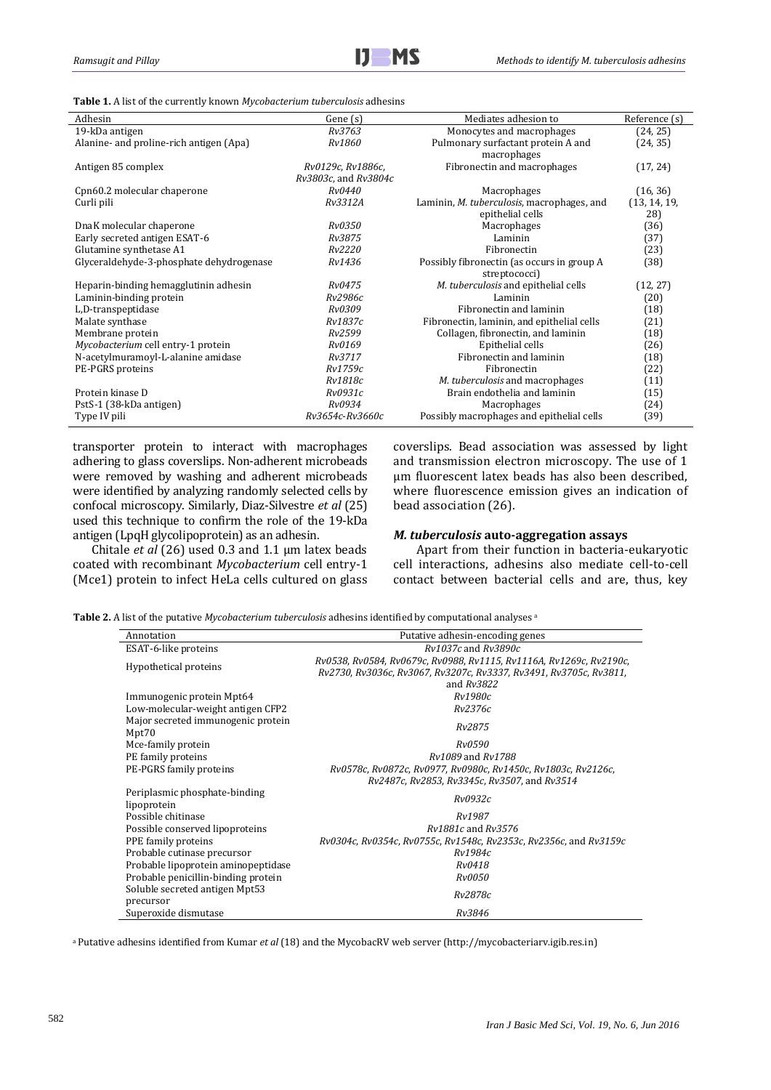j

**Table 1.** A list of the currently known *Mycobacterium tuberculosis* adhesins

| Adhesin                                  | Gene (s)             | Mediates adhesion to                       | Reference (s) |
|------------------------------------------|----------------------|--------------------------------------------|---------------|
| 19-kDa antigen                           | Rv3763               | Monocytes and macrophages                  | (24, 25)      |
| Alanine- and proline-rich antigen (Apa)  | Rv1860               | Pulmonary surfactant protein A and         | (24, 35)      |
|                                          |                      | macrophages                                |               |
| Antigen 85 complex                       | Rv0129c, Rv1886c,    | Fibronectin and macrophages                | (17, 24)      |
|                                          | Rv3803c, and Rv3804c |                                            |               |
| Cpn60.2 molecular chaperone              | Rv0440               | Macrophages                                | (16, 36)      |
| Curli pili                               | Rv3312A              | Laminin, M. tuberculosis, macrophages, and | (13, 14, 19,  |
|                                          |                      | epithelial cells                           | 28)           |
| DnaK molecular chaperone                 | <i>Rv0350</i>        | Macrophages                                | (36)          |
| Early secreted antigen ESAT-6            | Rv3875               | Laminin                                    | (37)          |
| Glutamine synthetase A1                  | Rv2220               | Fibronectin                                | (23)          |
| Glyceraldehyde-3-phosphate dehydrogenase | Rv1436               | Possibly fibronectin (as occurs in group A | (38)          |
|                                          |                      | streptococci)                              |               |
| Heparin-binding hemagglutinin adhesin    | Rv0475               | M. tuberculosis and epithelial cells       | (12, 27)      |
| Laminin-binding protein                  | Rv2986c              | Laminin                                    | (20)          |
| L,D-transpeptidase                       | Rv0309               | Fibronectin and laminin                    | (18)          |
| Malate synthase                          | Rv1837c              | Fibronectin, laminin, and epithelial cells | (21)          |
| Membrane protein                         | Rv2599               | Collagen, fibronectin, and laminin         | (18)          |
| Mycobacterium cell entry-1 protein       | <i>Rv0169</i>        | Epithelial cells                           | (26)          |
| N-acetylmuramoyl-L-alanine amidase       | Rv3717               | Fibronectin and laminin                    | (18)          |
| PE-PGRS proteins                         | Rv1759c              | Fibronectin                                | (22)          |
|                                          | Rv1818c              | M. tuberculosis and macrophages            | (11)          |
| Protein kinase D                         | Rv0931c              | Brain endothelia and laminin               | (15)          |
| PstS-1 (38-kDa antigen)                  | Rv0934               | Macrophages                                | (24)          |
| Type IV pili                             | Rv3654c-Rv3660c      | Possibly macrophages and epithelial cells  | (39)          |

transporter protein to interact with macrophages adhering to glass coverslips. Non-adherent microbeads were removed by washing and adherent microbeads were identified by analyzing randomly selected cells by confocal microscopy. Similarly, Diaz-Silvestre *et al* (25) used this technique to confirm the role of the 19-kDa antigen (LpqH glycolipoprotein) as an adhesin.

Chitale *et al* (26) used 0.3 and 1.1 μm latex beads coated with recombinant *Mycobacterium* cell entry-1 (Mce1) protein to infect HeLa cells cultured on glass coverslips. Bead association was assessed by light and transmission electron microscopy. The use of 1 μm fluorescent latex beads has also been described, where fluorescence emission gives an indication of bead association (26).

## *M. tuberculosis* **auto-aggregation assays**

Apart from their function in bacteria-eukaryotic cell interactions, adhesins also mediate cell-to-cell contact between bacterial cells and are, thus, key

**Table 2.** A list of the putative *Mycobacterium tuberculosis* adhesins identified by computational analyses <sup>a</sup>

| Annotation                                   | Putative adhesin-encoding genes                                                                                                           |
|----------------------------------------------|-------------------------------------------------------------------------------------------------------------------------------------------|
| ESAT-6-like proteins                         | Ry1037c and Ry3890c                                                                                                                       |
| Hypothetical proteins                        | Rv0538, Rv0584, Rv0679c, Rv0988, Rv1115, Rv1116A, Rv1269c, Rv2190c,<br>Rv2730, Rv3036c, Rv3067, Rv3207c, Rv3337, Rv3491, Rv3705c, Rv3811, |
|                                              | and $Rv3822$                                                                                                                              |
| Immunogenic protein Mpt64                    | Rv1980c                                                                                                                                   |
| Low-molecular-weight antigen CFP2            | Rv2376c                                                                                                                                   |
| Major secreted immunogenic protein<br>Mpt70  | Rv2875                                                                                                                                    |
| Mce-family protein                           | Rv0590                                                                                                                                    |
| PE family proteins                           | Ry1089 and Ry1788                                                                                                                         |
| PE-PGRS family proteins                      | Rv0578c, Rv0872c, Rv0977, Rv0980c, Rv1450c, Rv1803c, Rv2126c,<br>Rv2487c, Rv2853, Rv3345c, Rv3507, and Rv3514                             |
| Periplasmic phosphate-binding<br>lipoprotein | Rv0932c                                                                                                                                   |
| Possible chitinase                           | Rv1987                                                                                                                                    |
| Possible conserved lipoproteins              | Rv1881c and Rv3576                                                                                                                        |
| PPE family proteins                          | Rv0304c, Rv0354c, Rv0755c, Rv1548c, Rv2353c, Rv2356c, and Rv3159c                                                                         |
| Probable cutinase precursor                  | Rv1984c                                                                                                                                   |
| Probable lipoprotein aminopeptidase          | Rv0418                                                                                                                                    |
| Probable penicillin-binding protein          | <i>Rv0050</i>                                                                                                                             |
| Soluble secreted antigen Mpt53<br>precursor  | Rv2878c                                                                                                                                   |
| Superoxide dismutase                         | Rv3846                                                                                                                                    |

<sup>a</sup>Putative adhesins identified from Kumar *et al* (18) and the MycobacRV web server (http://mycobacteriarv.igib.res.in)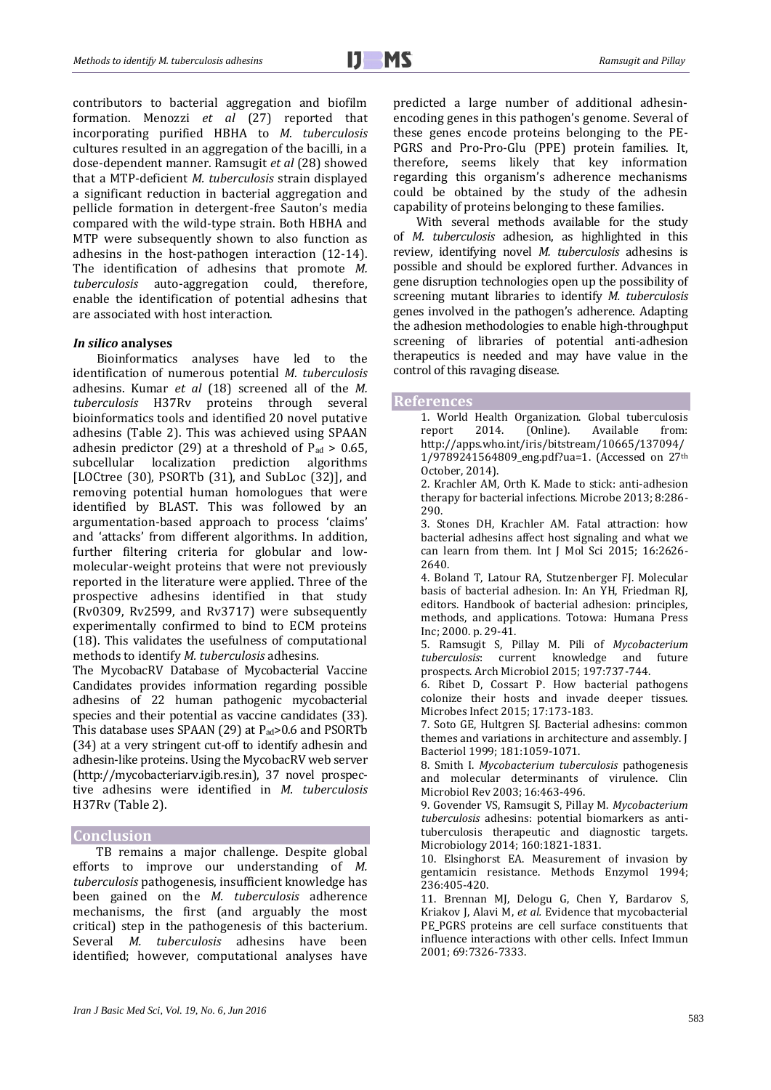contributors to bacterial aggregation and biofilm formation. Menozzi *et al* (27) reported that incorporating purified HBHA to *M. tuberculosis* cultures resulted in an aggregation of the bacilli, in a dose-dependent manner. Ramsugit *et al* (28) showed that a MTP-deficient *M. tuberculosis* strain displayed a significant reduction in bacterial aggregation and pellicle formation in detergent-free Sauton's media compared with the wild-type strain. Both HBHA and MTP were subsequently shown to also function as adhesins in the host-pathogen interaction (12-14). The identification of adhesins that promote *M. tuberculosis* auto-aggregation could, therefore, enable the identification of potential adhesins that are associated with host interaction.

#### *In silico* **analyses**

Bioinformatics analyses have led to the identification of numerous potential *M. tuberculosis* adhesins. Kumar *et al* (18) screened all of the *M. tuberculosis* H37Rv proteins through several bioinformatics tools and identified 20 novel putative adhesins (Table 2). This was achieved using SPAAN adhesin predictor (29) at a threshold of  $P_{ad} > 0.65$ , subcellular localization prediction algorithms [LOCtree (30), PSORTb (31), and SubLoc (32)], and removing potential human homologues that were identified by BLAST. This was followed by an argumentation-based approach to process 'claims' and 'attacks' from different algorithms. In addition, further filtering criteria for globular and lowmolecular-weight proteins that were not previously reported in the literature were applied. Three of the prospective adhesins identified in that study (Rv0309, Rv2599, and Rv3717) were subsequently experimentally confirmed to bind to ECM proteins (18). This validates the usefulness of computational methods to identify *M. tuberculosis* adhesins.

The MycobacRV Database of Mycobacterial Vaccine Candidates provides information regarding possible adhesins of 22 human pathogenic mycobacterial species and their potential as vaccine candidates (33). This database uses SPAAN (29) at  $P_{ad}$ >0.6 and PSORTb (34) at a very stringent cut-off to identify adhesin and adhesin-like proteins. Using the MycobacRV web server (http://mycobacteriarv.igib.res.in), 37 novel prospective adhesins were identified in *M. tuberculosis* H37Rv (Table 2).

## **Conclusion**

TB remains a major challenge. Despite global efforts to improve our understanding of *M. tuberculosis* pathogenesis, insufficient knowledge has been gained on the *M. tuberculosis* adherence mechanisms, the first (and arguably the most critical) step in the pathogenesis of this bacterium. Several *M. tuberculosis* adhesins have been identified; however, computational analyses have predicted a large number of additional adhesinencoding genes in this pathogen's genome. Several of these genes encode proteins belonging to the PE-PGRS and Pro-Pro-Glu (PPE) protein families. It, therefore, seems likely that key information regarding this organism's adherence mechanisms could be obtained by the study of the adhesin capability of proteins belonging to these families.

With several methods available for the study of *M. tuberculosis* adhesion, as highlighted in this review, identifying novel *M. tuberculosis* adhesins is possible and should be explored further. Advances in gene disruption technologies open up the possibility of screening mutant libraries to identify *M. tuberculosis* genes involved in the pathogen's adherence. Adapting the adhesion methodologies to enable high-throughput screening of libraries of potential anti-adhesion therapeutics is needed and may have value in the control of this ravaging disease.

#### **References**

- 1. World Health Organization. Global tuberculosis report 2014. (Online). Available from: http://apps.who.int/iris/bitstream/10665/137094/ 1/9789241564809\_eng.pdf?ua=1. (Accessed on 27th October, 2014).
- 2. Krachler AM, Orth K. Made to stick: anti-adhesion therapy for bacterial infections. Microbe 2013; 8:286- 290.
- 3. Stones DH, Krachler AM. Fatal attraction: how bacterial adhesins affect host signaling and what we can learn from them. Int J Mol Sci 2015; 16:2626- 2640.

4. Boland T, Latour RA, Stutzenberger FJ. Molecular basis of bacterial adhesion. In: An YH, Friedman RJ, editors. Handbook of bacterial adhesion: principles, methods, and applications. Totowa: Humana Press Inc; 2000. p. 29-41.

5. Ramsugit S, Pillay M. Pili of *Mycobacterium*  current knowledge and prospects. Arch Microbiol 2015; 197:737-744.

6. Ribet D, Cossart P. How bacterial pathogens colonize their hosts and invade deeper tissues. Microbes Infect 2015; 17:173-183.

7. Soto GE, Hultgren SJ. Bacterial adhesins: common themes and variations in architecture and assembly. J Bacteriol 1999; 181:1059-1071.

8. Smith I. *Mycobacterium tuberculosis* pathogenesis and molecular determinants of virulence. Clin Microbiol Rev 2003; 16:463-496.

9. Govender VS, Ramsugit S, Pillay M. *Mycobacterium tuberculosis* adhesins: potential biomarkers as antituberculosis therapeutic and diagnostic targets. Microbiology 2014; 160:1821-1831.

10. Elsinghorst EA. Measurement of invasion by gentamicin resistance. Methods Enzymol 1994; 236:405-420.

11. Brennan MJ, Delogu G, Chen Y, Bardarov S, Kriakov J, Alavi M, *et al.* Evidence that mycobacterial PE\_PGRS proteins are cell surface constituents that influence interactions with other cells. Infect Immun 2001; 69:7326-7333.